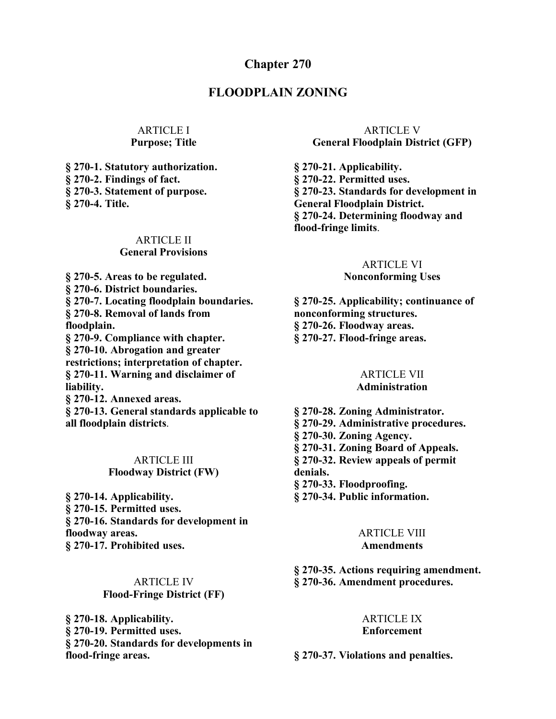#### **Chapter 270**

## **FLOODPLAIN ZONING**

#### ARTICLE I **Purpose; Title**

**§ 270-1. Statutory authorization. § 270-2. Findings of fact. § 270-3. Statement of purpose. § 270-4. Title.**

#### ARTICLE II **General Provisions**

**§ 270-5. Areas to be regulated. § 270-6. District boundaries. § 270-7. Locating floodplain boundaries. § 270-8. Removal of lands from floodplain. § 270-9. Compliance with chapter. § 270-10. Abrogation and greater restrictions; interpretation of chapter. § 270-11. Warning and disclaimer of liability. § 270-12. Annexed areas. § 270-13. General standards applicable to all floodplain districts**.

#### ARTICLE III **Floodway District (FW)**

**§ 270-14. Applicability. § 270-15. Permitted uses. § 270-16. Standards for development in floodway areas. § 270-17. Prohibited uses.**

#### ARTICLE IV **Flood-Fringe District (FF)**

**§ 270-18. Applicability. § 270-19. Permitted uses. § 270-20. Standards for developments in flood-fringe areas.**

#### ARTICLE V **General Floodplain District (GFP)**

**§ 270-21. Applicability. § 270-22. Permitted uses. § 270-23. Standards for development in General Floodplain District. § 270-24. Determining floodway and flood-fringe limits**.

# ARTICLE VI

**Nonconforming Uses**

**§ 270-25. Applicability; continuance of nonconforming structures. § 270-26. Floodway areas. § 270-27. Flood-fringe areas.**

#### ARTICLE VII **Administration**

- **§ 270-28. Zoning Administrator.**
- **§ 270-29. Administrative procedures.**
- **§ 270-30. Zoning Agency.**
- **§ 270-31. Zoning Board of Appeals.**
- **§ 270-32. Review appeals of permit**

**denials.**

- **§ 270-33. Floodproofing.**
- **§ 270-34. Public information.**

#### ARTICLE VIII **Amendments**

# **§ 270-35. Actions requiring amendment.**

**§ 270-36. Amendment procedures.**

# ARTICLE IX

#### **Enforcement**

**§ 270-37. Violations and penalties.**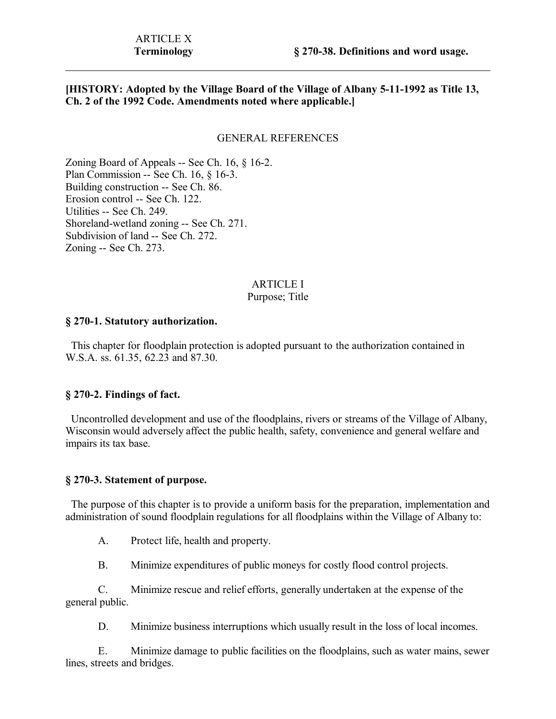#### **[HISTORY: Adopted by the Village Board of the Village of Albany 5-11-1992 as Title 13, Ch. 2 of the 1992 Code. Amendments noted where applicable.]**

#### GENERAL REFERENCES

Zoning Board of Appeals -- See Ch. 16, § 16-2. Plan Commission -- See Ch. 16, § 16-3. Building construction -- See Ch. 86. Erosion control -- See Ch. 122. Utilities -- See Ch. 249. Shoreland-wetland zoning -- See Ch. 271. Subdivision of land -- See Ch. 272. Zoning -- See Ch. 273.

# ARTICLE I

# Purpose; Title

#### **§ 270-1. Statutory authorization.**

 This chapter for floodplain protection is adopted pursuant to the authorization contained in W.S.A. ss. 61.35, 62.23 and 87.30.

#### **§ 270-2. Findings of fact.**

 Uncontrolled development and use of the floodplains, rivers or streams of the Village of Albany, Wisconsin would adversely affect the public health, safety, convenience and general welfare and impairs its tax base.

#### **§ 270-3. Statement of purpose.**

 The purpose of this chapter is to provide a uniform basis for the preparation, implementation and administration of sound floodplain regulations for all floodplains within the Village of Albany to:

A. Protect life, health and property.

B. Minimize expenditures of public moneys for costly flood control projects.

C. Minimize rescue and relief efforts, generally undertaken at the expense of the general public.

D. Minimize business interruptions which usually result in the loss of local incomes.

E. Minimize damage to public facilities on the floodplains, such as water mains, sewer lines, streets and bridges.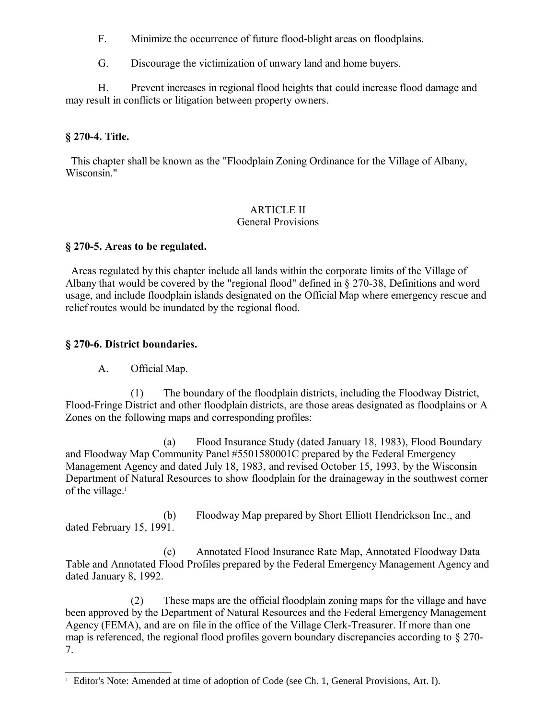F. Minimize the occurrence of future flood-blight areas on floodplains.

G. Discourage the victimization of unwary land and home buyers.

H. Prevent increases in regional flood heights that could increase flood damage and may result in conflicts or litigation between property owners.

# **§ 270-4. Title.**

 This chapter shall be known as the "Floodplain Zoning Ordinance for the Village of Albany, Wisconsin."

# ARTICLE II

# General Provisions

# **§ 270-5. Areas to be regulated.**

 Areas regulated by this chapter include all lands within the corporate limits of the Village of Albany that would be covered by the "regional flood" defined in § 270-38, Definitions and word usage, and include floodplain islands designated on the Official Map where emergency rescue and relief routes would be inundated by the regional flood.

# **§ 270-6. District boundaries.**

A. Official Map.

(1) The boundary of the floodplain districts, including the Floodway District, Flood-Fringe District and other floodplain districts, are those areas designated as floodplains or A Zones on the following maps and corresponding profiles:

(a) Flood Insurance Study (dated January 18, 1983), Flood Boundary and Floodway Map Community Panel #5501580001C prepared by the Federal Emergency Management Agency and dated July 18, 1983, and revised October 15, 1993, by the Wisconsin Department of Natural Resources to show floodplain for the drainageway in the southwest corner of the village.<sup>[1](#page-2-0)</sup>

(b) Floodway Map prepared by Short Elliott Hendrickson Inc., and dated February 15, 1991.

(c) Annotated Flood Insurance Rate Map, Annotated Floodway Data Table and Annotated Flood Profiles prepared by the Federal Emergency Management Agency and dated January 8, 1992.

(2) These maps are the official floodplain zoning maps for the village and have been approved by the Department of Natural Resources and the Federal Emergency Management Agency (FEMA), and are on file in the office of the Village Clerk-Treasurer. If more than one map is referenced, the regional flood profiles govern boundary discrepancies according to § 270- 7.

<span id="page-2-0"></span><sup>&</sup>lt;sup>1</sup> Editor's Note: Amended at time of adoption of Code (see Ch. 1, General Provisions, Art. I).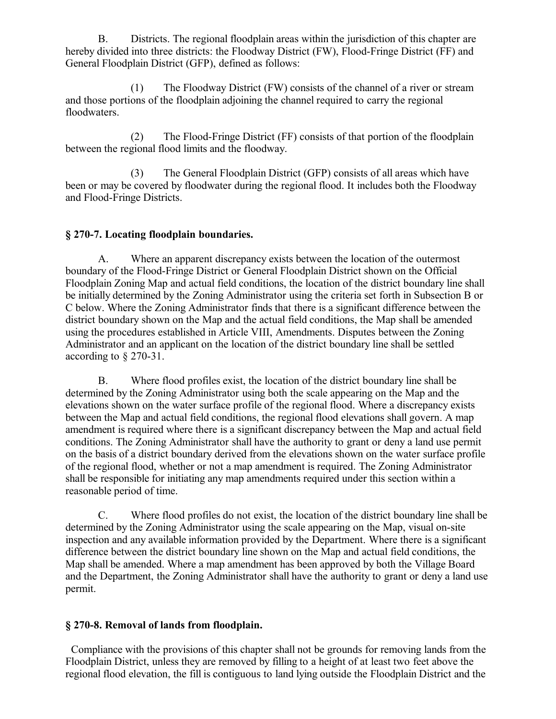B. Districts. The regional floodplain areas within the jurisdiction of this chapter are hereby divided into three districts: the Floodway District (FW), Flood-Fringe District (FF) and General Floodplain District (GFP), defined as follows:

(1) The Floodway District (FW) consists of the channel of a river or stream and those portions of the floodplain adjoining the channel required to carry the regional floodwaters.

(2) The Flood-Fringe District (FF) consists of that portion of the floodplain between the regional flood limits and the floodway.

(3) The General Floodplain District (GFP) consists of all areas which have been or may be covered by floodwater during the regional flood. It includes both the Floodway and Flood-Fringe Districts.

# **§ 270-7. Locating floodplain boundaries.**

A. Where an apparent discrepancy exists between the location of the outermost boundary of the Flood-Fringe District or General Floodplain District shown on the Official Floodplain Zoning Map and actual field conditions, the location of the district boundary line shall be initially determined by the Zoning Administrator using the criteria set forth in Subsection B or C below. Where the Zoning Administrator finds that there is a significant difference between the district boundary shown on the Map and the actual field conditions, the Map shall be amended using the procedures established in Article VIII, Amendments. Disputes between the Zoning Administrator and an applicant on the location of the district boundary line shall be settled according to § 270-31.

B. Where flood profiles exist, the location of the district boundary line shall be determined by the Zoning Administrator using both the scale appearing on the Map and the elevations shown on the water surface profile of the regional flood. Where a discrepancy exists between the Map and actual field conditions, the regional flood elevations shall govern. A map amendment is required where there is a significant discrepancy between the Map and actual field conditions. The Zoning Administrator shall have the authority to grant or deny a land use permit on the basis of a district boundary derived from the elevations shown on the water surface profile of the regional flood, whether or not a map amendment is required. The Zoning Administrator shall be responsible for initiating any map amendments required under this section within a reasonable period of time.

C. Where flood profiles do not exist, the location of the district boundary line shall be determined by the Zoning Administrator using the scale appearing on the Map, visual on-site inspection and any available information provided by the Department. Where there is a significant difference between the district boundary line shown on the Map and actual field conditions, the Map shall be amended. Where a map amendment has been approved by both the Village Board and the Department, the Zoning Administrator shall have the authority to grant or deny a land use permit.

# **§ 270-8. Removal of lands from floodplain.**

 Compliance with the provisions of this chapter shall not be grounds for removing lands from the Floodplain District, unless they are removed by filling to a height of at least two feet above the regional flood elevation, the fill is contiguous to land lying outside the Floodplain District and the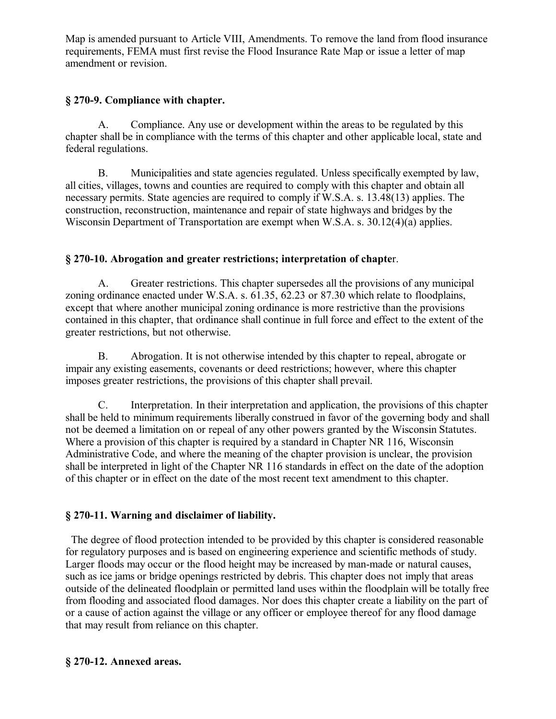Map is amended pursuant to Article VIII, Amendments. To remove the land from flood insurance requirements, FEMA must first revise the Flood Insurance Rate Map or issue a letter of map amendment or revision.

## **§ 270-9. Compliance with chapter.**

A. Compliance. Any use or development within the areas to be regulated by this chapter shall be in compliance with the terms of this chapter and other applicable local, state and federal regulations.

B. Municipalities and state agencies regulated. Unless specifically exempted by law, all cities, villages, towns and counties are required to comply with this chapter and obtain all necessary permits. State agencies are required to comply if W.S.A. s. 13.48(13) applies. The construction, reconstruction, maintenance and repair of state highways and bridges by the Wisconsin Department of Transportation are exempt when W.S.A. s. 30.12(4)(a) applies.

# **§ 270-10. Abrogation and greater restrictions; interpretation of chapte**r.

A. Greater restrictions. This chapter supersedes all the provisions of any municipal zoning ordinance enacted under W.S.A. s. 61.35, 62.23 or 87.30 which relate to floodplains, except that where another municipal zoning ordinance is more restrictive than the provisions contained in this chapter, that ordinance shall continue in full force and effect to the extent of the greater restrictions, but not otherwise.

B. Abrogation. It is not otherwise intended by this chapter to repeal, abrogate or impair any existing easements, covenants or deed restrictions; however, where this chapter imposes greater restrictions, the provisions of this chapter shall prevail.

C. Interpretation. In their interpretation and application, the provisions of this chapter shall be held to minimum requirements liberally construed in favor of the governing body and shall not be deemed a limitation on or repeal of any other powers granted by the Wisconsin Statutes. Where a provision of this chapter is required by a standard in Chapter NR 116, Wisconsin Administrative Code, and where the meaning of the chapter provision is unclear, the provision shall be interpreted in light of the Chapter NR 116 standards in effect on the date of the adoption of this chapter or in effect on the date of the most recent text amendment to this chapter.

# **§ 270-11. Warning and disclaimer of liability.**

 The degree of flood protection intended to be provided by this chapter is considered reasonable for regulatory purposes and is based on engineering experience and scientific methods of study. Larger floods may occur or the flood height may be increased by man-made or natural causes, such as ice jams or bridge openings restricted by debris. This chapter does not imply that areas outside of the delineated floodplain or permitted land uses within the floodplain will be totally free from flooding and associated flood damages. Nor does this chapter create a liability on the part of or a cause of action against the village or any officer or employee thereof for any flood damage that may result from reliance on this chapter.

## **§ 270-12. Annexed areas.**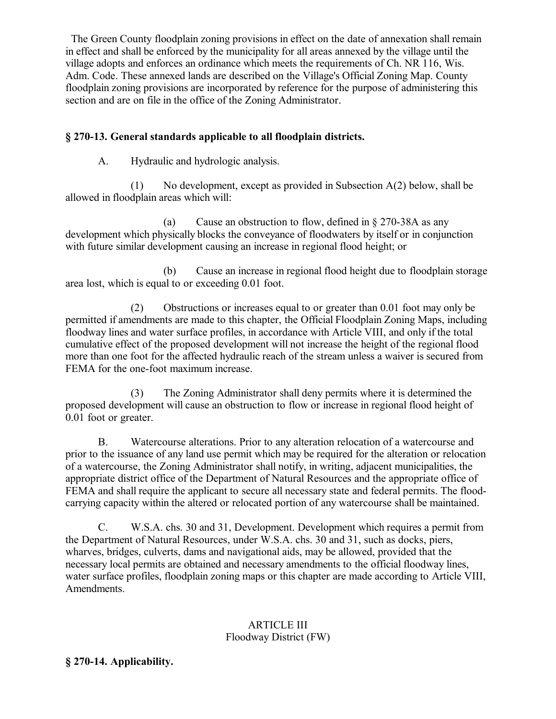The Green County floodplain zoning provisions in effect on the date of annexation shall remain in effect and shall be enforced by the municipality for all areas annexed by the village until the village adopts and enforces an ordinance which meets the requirements of Ch. NR 116, Wis. Adm. Code. These annexed lands are described on the Village's Official Zoning Map. County floodplain zoning provisions are incorporated by reference for the purpose of administering this section and are on file in the office of the Zoning Administrator.

# **§ 270-13. General standards applicable to all floodplain districts.**

A. Hydraulic and hydrologic analysis.

(1) No development, except as provided in Subsection A(2) below, shall be allowed in floodplain areas which will:

(a) Cause an obstruction to flow, defined in § 270-38A as any development which physically blocks the conveyance of floodwaters by itself or in conjunction with future similar development causing an increase in regional flood height; or

(b) Cause an increase in regional flood height due to floodplain storage area lost, which is equal to or exceeding 0.01 foot.

(2) Obstructions or increases equal to or greater than 0.01 foot may only be permitted if amendments are made to this chapter, the Official Floodplain Zoning Maps, including floodway lines and water surface profiles, in accordance with Article VIII, and only if the total cumulative effect of the proposed development will not increase the height of the regional flood more than one foot for the affected hydraulic reach of the stream unless a waiver is secured from FEMA for the one-foot maximum increase.

(3) The Zoning Administrator shall deny permits where it is determined the proposed development will cause an obstruction to flow or increase in regional flood height of 0.01 foot or greater.

B. Watercourse alterations. Prior to any alteration relocation of a watercourse and prior to the issuance of any land use permit which may be required for the alteration or relocation of a watercourse, the Zoning Administrator shall notify, in writing, adjacent municipalities, the appropriate district office of the Department of Natural Resources and the appropriate office of FEMA and shall require the applicant to secure all necessary state and federal permits. The floodcarrying capacity within the altered or relocated portion of any watercourse shall be maintained.

C. W.S.A. chs. 30 and 31, Development. Development which requires a permit from the Department of Natural Resources, under W.S.A. chs. 30 and 31, such as docks, piers, wharves, bridges, culverts, dams and navigational aids, may be allowed, provided that the necessary local permits are obtained and necessary amendments to the official floodway lines, water surface profiles, floodplain zoning maps or this chapter are made according to Article VIII, Amendments.

### ARTICLE III Floodway District (FW)

## **§ 270-14. Applicability.**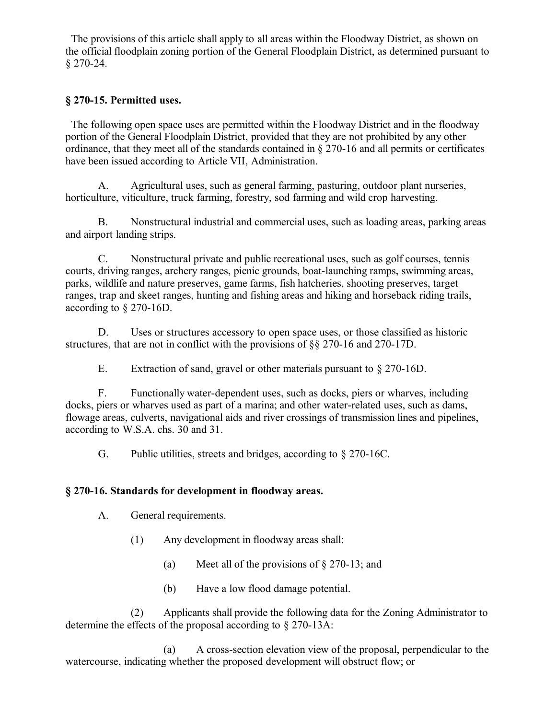The provisions of this article shall apply to all areas within the Floodway District, as shown on the official floodplain zoning portion of the General Floodplain District, as determined pursuant to § 270-24.

## **§ 270-15. Permitted uses.**

 The following open space uses are permitted within the Floodway District and in the floodway portion of the General Floodplain District, provided that they are not prohibited by any other ordinance, that they meet all of the standards contained in § 270-16 and all permits or certificates have been issued according to Article VII, Administration.

A. Agricultural uses, such as general farming, pasturing, outdoor plant nurseries, horticulture, viticulture, truck farming, forestry, sod farming and wild crop harvesting.

B. Nonstructural industrial and commercial uses, such as loading areas, parking areas and airport landing strips.

C. Nonstructural private and public recreational uses, such as golf courses, tennis courts, driving ranges, archery ranges, picnic grounds, boat-launching ramps, swimming areas, parks, wildlife and nature preserves, game farms, fish hatcheries, shooting preserves, target ranges, trap and skeet ranges, hunting and fishing areas and hiking and horseback riding trails, according to § 270-16D.

D. Uses or structures accessory to open space uses, or those classified as historic structures, that are not in conflict with the provisions of §§ 270-16 and 270-17D.

E. Extraction of sand, gravel or other materials pursuant to § 270-16D.

F. Functionally water-dependent uses, such as docks, piers or wharves, including docks, piers or wharves used as part of a marina; and other water-related uses, such as dams, flowage areas, culverts, navigational aids and river crossings of transmission lines and pipelines, according to W.S.A. chs. 30 and 31.

G. Public utilities, streets and bridges, according to § 270-16C.

## **§ 270-16. Standards for development in floodway areas.**

A. General requirements.

- (1) Any development in floodway areas shall:
	- (a) Meet all of the provisions of § 270-13; and
	- (b) Have a low flood damage potential.

(2) Applicants shall provide the following data for the Zoning Administrator to determine the effects of the proposal according to § 270-13A:

(a) A cross-section elevation view of the proposal, perpendicular to the watercourse, indicating whether the proposed development will obstruct flow; or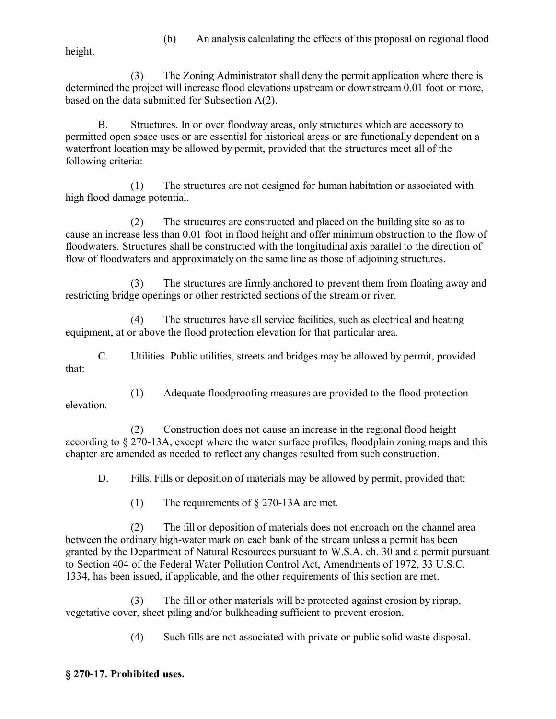(b) An analysis calculating the effects of this proposal on regional flood

height.

(3) The Zoning Administrator shall deny the permit application where there is determined the project will increase flood elevations upstream or downstream 0.01 foot or more, based on the data submitted for Subsection A(2).

B. Structures. In or over floodway areas, only structures which are accessory to permitted open space uses or are essential for historical areas or are functionally dependent on a waterfront location may be allowed by permit, provided that the structures meet all of the following criteria:

(1) The structures are not designed for human habitation or associated with high flood damage potential.

(2) The structures are constructed and placed on the building site so as to cause an increase less than 0.01 foot in flood height and offer minimum obstruction to the flow of floodwaters. Structures shall be constructed with the longitudinal axis parallel to the direction of flow of floodwaters and approximately on the same line as those of adjoining structures.

(3) The structures are firmly anchored to prevent them from floating away and restricting bridge openings or other restricted sections of the stream or river.

(4) The structures have all service facilities, such as electrical and heating equipment, at or above the flood protection elevation for that particular area.

C. Utilities. Public utilities, streets and bridges may be allowed by permit, provided that:

(1) Adequate floodproofing measures are provided to the flood protection elevation.

(2) Construction does not cause an increase in the regional flood height according to § 270-13A, except where the water surface profiles, floodplain zoning maps and this chapter are amended as needed to reflect any changes resulted from such construction.

D. Fills. Fills or deposition of materials may be allowed by permit, provided that:

(1) The requirements of § 270-13A are met.

(2) The fill or deposition of materials does not encroach on the channel area between the ordinary high-water mark on each bank of the stream unless a permit has been granted by the Department of Natural Resources pursuant to W.S.A. ch. 30 and a permit pursuant to Section 404 of the Federal Water Pollution Control Act, Amendments of 1972, 33 U.S.C. 1334, has been issued, if applicable, and the other requirements of this section are met.

(3) The fill or other materials will be protected against erosion by riprap, vegetative cover, sheet piling and/or bulkheading sufficient to prevent erosion.

(4) Such fills are not associated with private or public solid waste disposal.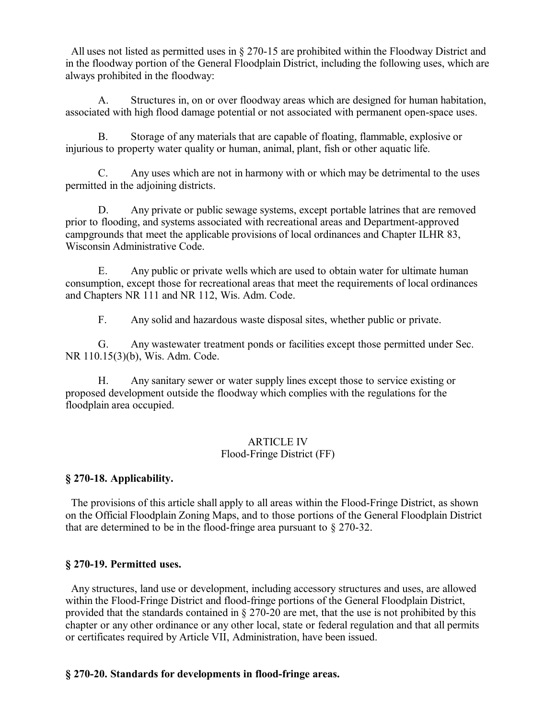All uses not listed as permitted uses in § 270-15 are prohibited within the Floodway District and in the floodway portion of the General Floodplain District, including the following uses, which are always prohibited in the floodway:

A. Structures in, on or over floodway areas which are designed for human habitation, associated with high flood damage potential or not associated with permanent open-space uses.

B. Storage of any materials that are capable of floating, flammable, explosive or injurious to property water quality or human, animal, plant, fish or other aquatic life.

C. Any uses which are not in harmony with or which may be detrimental to the uses permitted in the adjoining districts.

D. Any private or public sewage systems, except portable latrines that are removed prior to flooding, and systems associated with recreational areas and Department-approved campgrounds that meet the applicable provisions of local ordinances and Chapter ILHR 83, Wisconsin Administrative Code.

E. Any public or private wells which are used to obtain water for ultimate human consumption, except those for recreational areas that meet the requirements of local ordinances and Chapters NR 111 and NR 112, Wis. Adm. Code.

F. Any solid and hazardous waste disposal sites, whether public or private.

G. Any wastewater treatment ponds or facilities except those permitted under Sec. NR 110.15(3)(b), Wis. Adm. Code.

H. Any sanitary sewer or water supply lines except those to service existing or proposed development outside the floodway which complies with the regulations for the floodplain area occupied.

#### ARTICLE IV Flood-Fringe District (FF)

## **§ 270-18. Applicability.**

 The provisions of this article shall apply to all areas within the Flood-Fringe District, as shown on the Official Floodplain Zoning Maps, and to those portions of the General Floodplain District that are determined to be in the flood-fringe area pursuant to § 270-32.

## **§ 270-19. Permitted uses.**

 Any structures, land use or development, including accessory structures and uses, are allowed within the Flood-Fringe District and flood-fringe portions of the General Floodplain District, provided that the standards contained in § 270-20 are met, that the use is not prohibited by this chapter or any other ordinance or any other local, state or federal regulation and that all permits or certificates required by Article VII, Administration, have been issued.

#### **§ 270-20. Standards for developments in flood-fringe areas.**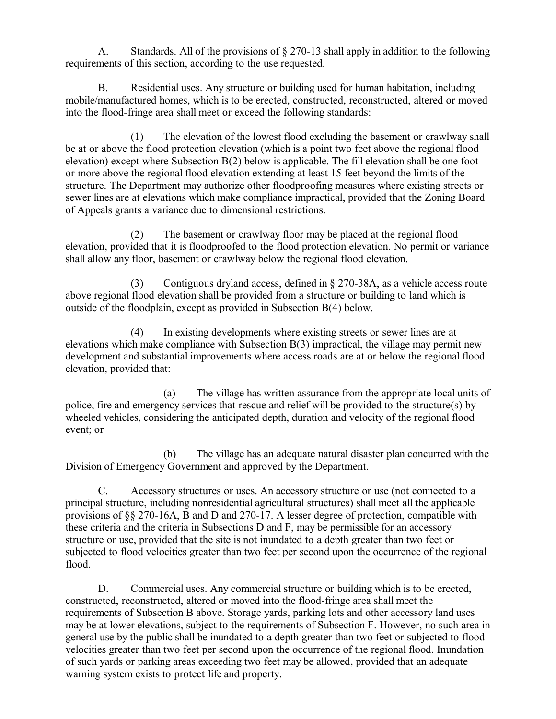A. Standards. All of the provisions of § 270-13 shall apply in addition to the following requirements of this section, according to the use requested.

B. Residential uses. Any structure or building used for human habitation, including mobile/manufactured homes, which is to be erected, constructed, reconstructed, altered or moved into the flood-fringe area shall meet or exceed the following standards:

(1) The elevation of the lowest flood excluding the basement or crawlway shall be at or above the flood protection elevation (which is a point two feet above the regional flood elevation) except where Subsection B(2) below is applicable. The fill elevation shall be one foot or more above the regional flood elevation extending at least 15 feet beyond the limits of the structure. The Department may authorize other floodproofing measures where existing streets or sewer lines are at elevations which make compliance impractical, provided that the Zoning Board of Appeals grants a variance due to dimensional restrictions.

(2) The basement or crawlway floor may be placed at the regional flood elevation, provided that it is floodproofed to the flood protection elevation. No permit or variance shall allow any floor, basement or crawlway below the regional flood elevation.

(3) Contiguous dryland access, defined in § 270-38A, as a vehicle access route above regional flood elevation shall be provided from a structure or building to land which is outside of the floodplain, except as provided in Subsection B(4) below.

(4) In existing developments where existing streets or sewer lines are at elevations which make compliance with Subsection B(3) impractical, the village may permit new development and substantial improvements where access roads are at or below the regional flood elevation, provided that:

(a) The village has written assurance from the appropriate local units of police, fire and emergency services that rescue and relief will be provided to the structure(s) by wheeled vehicles, considering the anticipated depth, duration and velocity of the regional flood event; or

(b) The village has an adequate natural disaster plan concurred with the Division of Emergency Government and approved by the Department.

C. Accessory structures or uses. An accessory structure or use (not connected to a principal structure, including nonresidential agricultural structures) shall meet all the applicable provisions of §§ 270-16A, B and D and 270-17. A lesser degree of protection, compatible with these criteria and the criteria in Subsections D and F, may be permissible for an accessory structure or use, provided that the site is not inundated to a depth greater than two feet or subjected to flood velocities greater than two feet per second upon the occurrence of the regional flood.

D. Commercial uses. Any commercial structure or building which is to be erected, constructed, reconstructed, altered or moved into the flood-fringe area shall meet the requirements of Subsection B above. Storage yards, parking lots and other accessory land uses may be at lower elevations, subject to the requirements of Subsection F. However, no such area in general use by the public shall be inundated to a depth greater than two feet or subjected to flood velocities greater than two feet per second upon the occurrence of the regional flood. Inundation of such yards or parking areas exceeding two feet may be allowed, provided that an adequate warning system exists to protect life and property.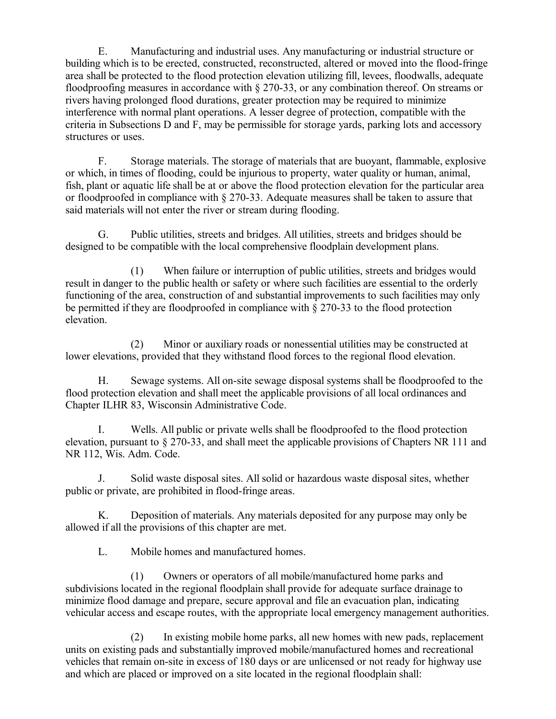E. Manufacturing and industrial uses. Any manufacturing or industrial structure or building which is to be erected, constructed, reconstructed, altered or moved into the flood-fringe area shall be protected to the flood protection elevation utilizing fill, levees, floodwalls, adequate floodproofing measures in accordance with § 270-33, or any combination thereof. On streams or rivers having prolonged flood durations, greater protection may be required to minimize interference with normal plant operations. A lesser degree of protection, compatible with the criteria in Subsections D and F, may be permissible for storage yards, parking lots and accessory structures or uses.

F. Storage materials. The storage of materials that are buoyant, flammable, explosive or which, in times of flooding, could be injurious to property, water quality or human, animal, fish, plant or aquatic life shall be at or above the flood protection elevation for the particular area or floodproofed in compliance with § 270-33. Adequate measures shall be taken to assure that said materials will not enter the river or stream during flooding.

G. Public utilities, streets and bridges. All utilities, streets and bridges should be designed to be compatible with the local comprehensive floodplain development plans.

(1) When failure or interruption of public utilities, streets and bridges would result in danger to the public health or safety or where such facilities are essential to the orderly functioning of the area, construction of and substantial improvements to such facilities may only be permitted if they are floodproofed in compliance with § 270-33 to the flood protection elevation.

(2) Minor or auxiliary roads or nonessential utilities may be constructed at lower elevations, provided that they withstand flood forces to the regional flood elevation.

H. Sewage systems. All on-site sewage disposal systems shall be floodproofed to the flood protection elevation and shall meet the applicable provisions of all local ordinances and Chapter ILHR 83, Wisconsin Administrative Code.

I. Wells. All public or private wells shall be floodproofed to the flood protection elevation, pursuant to § 270-33, and shall meet the applicable provisions of Chapters NR 111 and NR 112, Wis. Adm. Code.

J. Solid waste disposal sites. All solid or hazardous waste disposal sites, whether public or private, are prohibited in flood-fringe areas.

K. Deposition of materials. Any materials deposited for any purpose may only be allowed if all the provisions of this chapter are met.

L. Mobile homes and manufactured homes.

(1) Owners or operators of all mobile/manufactured home parks and subdivisions located in the regional floodplain shall provide for adequate surface drainage to minimize flood damage and prepare, secure approval and file an evacuation plan, indicating vehicular access and escape routes, with the appropriate local emergency management authorities.

(2) In existing mobile home parks, all new homes with new pads, replacement units on existing pads and substantially improved mobile/manufactured homes and recreational vehicles that remain on-site in excess of 180 days or are unlicensed or not ready for highway use and which are placed or improved on a site located in the regional floodplain shall: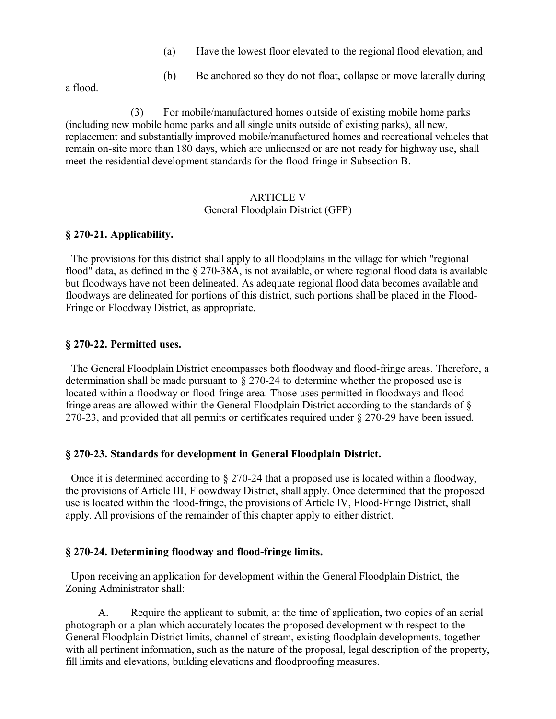- (a) Have the lowest floor elevated to the regional flood elevation; and
- (b) Be anchored so they do not float, collapse or move laterally during

a flood.

(3) For mobile/manufactured homes outside of existing mobile home parks (including new mobile home parks and all single units outside of existing parks), all new, replacement and substantially improved mobile/manufactured homes and recreational vehicles that remain on-site more than 180 days, which are unlicensed or are not ready for highway use, shall meet the residential development standards for the flood-fringe in Subsection B.

#### ARTICLE V General Floodplain District (GFP)

#### **§ 270-21. Applicability.**

 The provisions for this district shall apply to all floodplains in the village for which "regional flood" data, as defined in the § 270-38A, is not available, or where regional flood data is available but floodways have not been delineated. As adequate regional flood data becomes available and floodways are delineated for portions of this district, such portions shall be placed in the Flood-Fringe or Floodway District, as appropriate.

#### **§ 270-22. Permitted uses.**

 The General Floodplain District encompasses both floodway and flood-fringe areas. Therefore, a determination shall be made pursuant to § 270-24 to determine whether the proposed use is located within a floodway or flood-fringe area. Those uses permitted in floodways and floodfringe areas are allowed within the General Floodplain District according to the standards of § 270-23, and provided that all permits or certificates required under § 270-29 have been issued.

### **§ 270-23. Standards for development in General Floodplain District.**

 Once it is determined according to § 270-24 that a proposed use is located within a floodway, the provisions of Article III, Floowdway District, shall apply. Once determined that the proposed use is located within the flood-fringe, the provisions of Article IV, Flood-Fringe District, shall apply. All provisions of the remainder of this chapter apply to either district.

#### **§ 270-24. Determining floodway and flood-fringe limits.**

 Upon receiving an application for development within the General Floodplain District, the Zoning Administrator shall:

A. Require the applicant to submit, at the time of application, two copies of an aerial photograph or a plan which accurately locates the proposed development with respect to the General Floodplain District limits, channel of stream, existing floodplain developments, together with all pertinent information, such as the nature of the proposal, legal description of the property, fill limits and elevations, building elevations and floodproofing measures.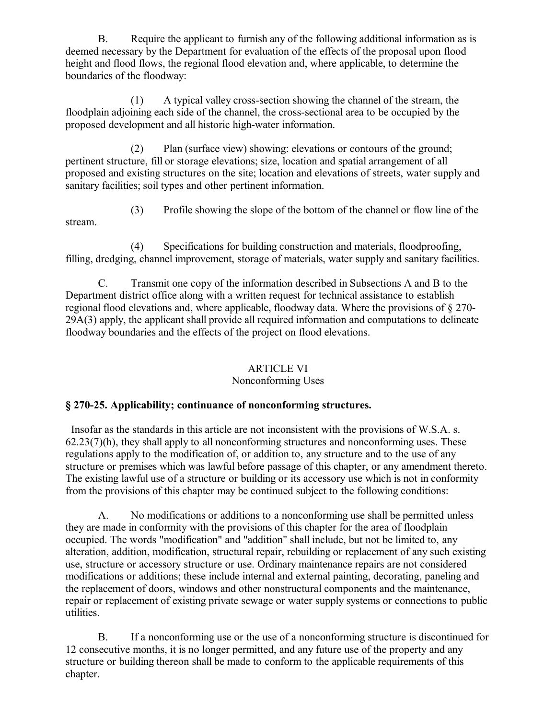B. Require the applicant to furnish any of the following additional information as is deemed necessary by the Department for evaluation of the effects of the proposal upon flood height and flood flows, the regional flood elevation and, where applicable, to determine the boundaries of the floodway:

(1) A typical valley cross-section showing the channel of the stream, the floodplain adjoining each side of the channel, the cross-sectional area to be occupied by the proposed development and all historic high-water information.

(2) Plan (surface view) showing: elevations or contours of the ground; pertinent structure, fill or storage elevations; size, location and spatial arrangement of all proposed and existing structures on the site; location and elevations of streets, water supply and sanitary facilities; soil types and other pertinent information.

stream.

(3) Profile showing the slope of the bottom of the channel or flow line of the

(4) Specifications for building construction and materials, floodproofing, filling, dredging, channel improvement, storage of materials, water supply and sanitary facilities.

C. Transmit one copy of the information described in Subsections A and B to the Department district office along with a written request for technical assistance to establish regional flood elevations and, where applicable, floodway data. Where the provisions of § 270- 29A(3) apply, the applicant shall provide all required information and computations to delineate floodway boundaries and the effects of the project on flood elevations.

# ARTICLE VI

# Nonconforming Uses

# **§ 270-25. Applicability; continuance of nonconforming structures.**

 Insofar as the standards in this article are not inconsistent with the provisions of W.S.A. s.  $62.23(7)$ (h), they shall apply to all nonconforming structures and nonconforming uses. These regulations apply to the modification of, or addition to, any structure and to the use of any structure or premises which was lawful before passage of this chapter, or any amendment thereto. The existing lawful use of a structure or building or its accessory use which is not in conformity from the provisions of this chapter may be continued subject to the following conditions:

A. No modifications or additions to a nonconforming use shall be permitted unless they are made in conformity with the provisions of this chapter for the area of floodplain occupied. The words "modification" and "addition" shall include, but not be limited to, any alteration, addition, modification, structural repair, rebuilding or replacement of any such existing use, structure or accessory structure or use. Ordinary maintenance repairs are not considered modifications or additions; these include internal and external painting, decorating, paneling and the replacement of doors, windows and other nonstructural components and the maintenance, repair or replacement of existing private sewage or water supply systems or connections to public utilities.

B. If a nonconforming use or the use of a nonconforming structure is discontinued for 12 consecutive months, it is no longer permitted, and any future use of the property and any structure or building thereon shall be made to conform to the applicable requirements of this chapter.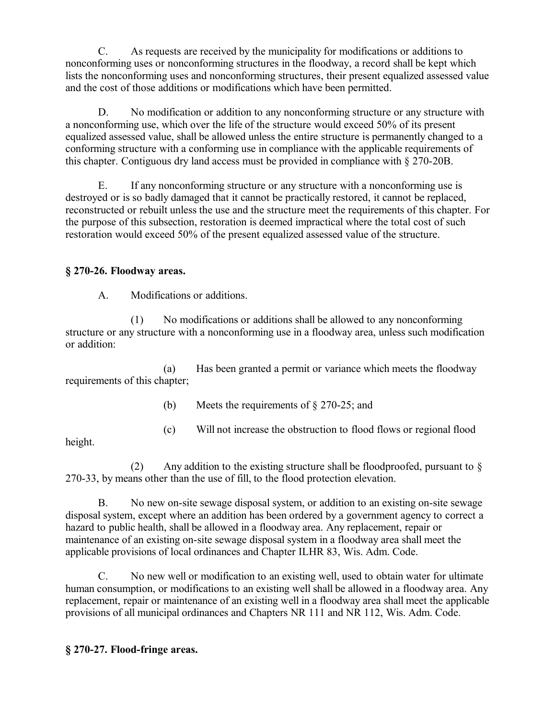C. As requests are received by the municipality for modifications or additions to nonconforming uses or nonconforming structures in the floodway, a record shall be kept which lists the nonconforming uses and nonconforming structures, their present equalized assessed value and the cost of those additions or modifications which have been permitted.

D. No modification or addition to any nonconforming structure or any structure with a nonconforming use, which over the life of the structure would exceed 50% of its present equalized assessed value, shall be allowed unless the entire structure is permanently changed to a conforming structure with a conforming use in compliance with the applicable requirements of this chapter. Contiguous dry land access must be provided in compliance with § 270-20B.

E. If any nonconforming structure or any structure with a nonconforming use is destroyed or is so badly damaged that it cannot be practically restored, it cannot be replaced, reconstructed or rebuilt unless the use and the structure meet the requirements of this chapter. For the purpose of this subsection, restoration is deemed impractical where the total cost of such restoration would exceed 50% of the present equalized assessed value of the structure.

# **§ 270-26. Floodway areas.**

A. Modifications or additions.

(1) No modifications or additions shall be allowed to any nonconforming structure or any structure with a nonconforming use in a floodway area, unless such modification or addition:

(a) Has been granted a permit or variance which meets the floodway requirements of this chapter;

- (b) Meets the requirements of § 270-25; and
- (c) Will not increase the obstruction to flood flows or regional flood

height.

(2) Any addition to the existing structure shall be floodproofed, pursuant to  $\S$ 270-33, by means other than the use of fill, to the flood protection elevation.

B. No new on-site sewage disposal system, or addition to an existing on-site sewage disposal system, except where an addition has been ordered by a government agency to correct a hazard to public health, shall be allowed in a floodway area. Any replacement, repair or maintenance of an existing on-site sewage disposal system in a floodway area shall meet the applicable provisions of local ordinances and Chapter ILHR 83, Wis. Adm. Code.

C. No new well or modification to an existing well, used to obtain water for ultimate human consumption, or modifications to an existing well shall be allowed in a floodway area. Any replacement, repair or maintenance of an existing well in a floodway area shall meet the applicable provisions of all municipal ordinances and Chapters NR 111 and NR 112, Wis. Adm. Code.

## **§ 270-27. Flood-fringe areas.**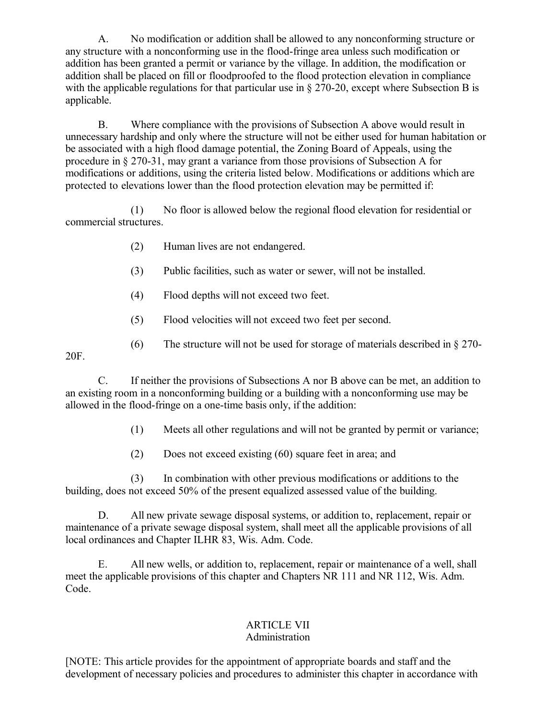A. No modification or addition shall be allowed to any nonconforming structure or any structure with a nonconforming use in the flood-fringe area unless such modification or addition has been granted a permit or variance by the village. In addition, the modification or addition shall be placed on fill or floodproofed to the flood protection elevation in compliance with the applicable regulations for that particular use in § 270-20, except where Subsection B is applicable.

B. Where compliance with the provisions of Subsection A above would result in unnecessary hardship and only where the structure will not be either used for human habitation or be associated with a high flood damage potential, the Zoning Board of Appeals, using the procedure in § 270-31, may grant a variance from those provisions of Subsection A for modifications or additions, using the criteria listed below. Modifications or additions which are protected to elevations lower than the flood protection elevation may be permitted if:

(1) No floor is allowed below the regional flood elevation for residential or commercial structures.

- (2) Human lives are not endangered.
- (3) Public facilities, such as water or sewer, will not be installed.
- (4) Flood depths will not exceed two feet.
- (5) Flood velocities will not exceed two feet per second.
- (6) The structure will not be used for storage of materials described in § 270-

20F.

C. If neither the provisions of Subsections A nor B above can be met, an addition to an existing room in a nonconforming building or a building with a nonconforming use may be allowed in the flood-fringe on a one-time basis only, if the addition:

(1) Meets all other regulations and will not be granted by permit or variance;

(2) Does not exceed existing (60) square feet in area; and

(3) In combination with other previous modifications or additions to the building, does not exceed 50% of the present equalized assessed value of the building.

D. All new private sewage disposal systems, or addition to, replacement, repair or maintenance of a private sewage disposal system, shall meet all the applicable provisions of all local ordinances and Chapter ILHR 83, Wis. Adm. Code.

E. All new wells, or addition to, replacement, repair or maintenance of a well, shall meet the applicable provisions of this chapter and Chapters NR 111 and NR 112, Wis. Adm. Code.

# ARTICLE VII

## Administration

[NOTE: This article provides for the appointment of appropriate boards and staff and the development of necessary policies and procedures to administer this chapter in accordance with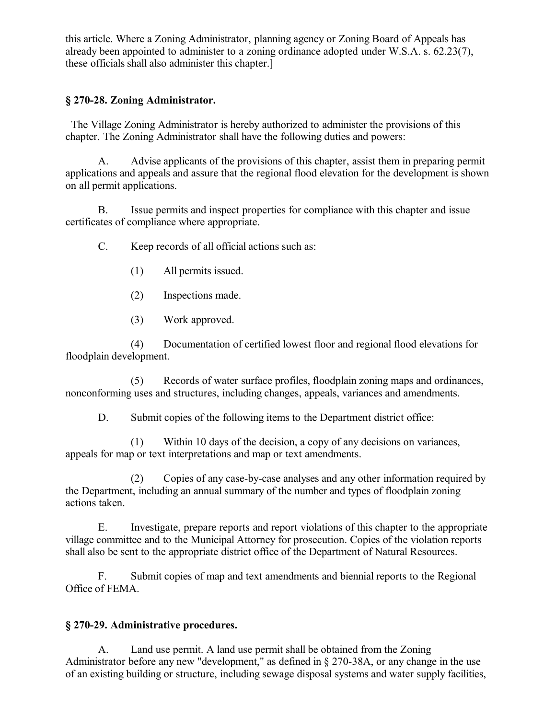this article. Where a Zoning Administrator, planning agency or Zoning Board of Appeals has already been appointed to administer to a zoning ordinance adopted under W.S.A. s. 62.23(7), these officials shall also administer this chapter.]

## **§ 270-28. Zoning Administrator.**

 The Village Zoning Administrator is hereby authorized to administer the provisions of this chapter. The Zoning Administrator shall have the following duties and powers:

A. Advise applicants of the provisions of this chapter, assist them in preparing permit applications and appeals and assure that the regional flood elevation for the development is shown on all permit applications.

B. Issue permits and inspect properties for compliance with this chapter and issue certificates of compliance where appropriate.

C. Keep records of all official actions such as:

- (1) All permits issued.
- (2) Inspections made.
- (3) Work approved.

(4) Documentation of certified lowest floor and regional flood elevations for floodplain development.

(5) Records of water surface profiles, floodplain zoning maps and ordinances, nonconforming uses and structures, including changes, appeals, variances and amendments.

D. Submit copies of the following items to the Department district office:

(1) Within 10 days of the decision, a copy of any decisions on variances, appeals for map or text interpretations and map or text amendments.

(2) Copies of any case-by-case analyses and any other information required by the Department, including an annual summary of the number and types of floodplain zoning actions taken.

E. Investigate, prepare reports and report violations of this chapter to the appropriate village committee and to the Municipal Attorney for prosecution. Copies of the violation reports shall also be sent to the appropriate district office of the Department of Natural Resources.

F. Submit copies of map and text amendments and biennial reports to the Regional Office of FEMA.

## **§ 270-29. Administrative procedures.**

A. Land use permit. A land use permit shall be obtained from the Zoning Administrator before any new "development," as defined in § 270-38A, or any change in the use of an existing building or structure, including sewage disposal systems and water supply facilities,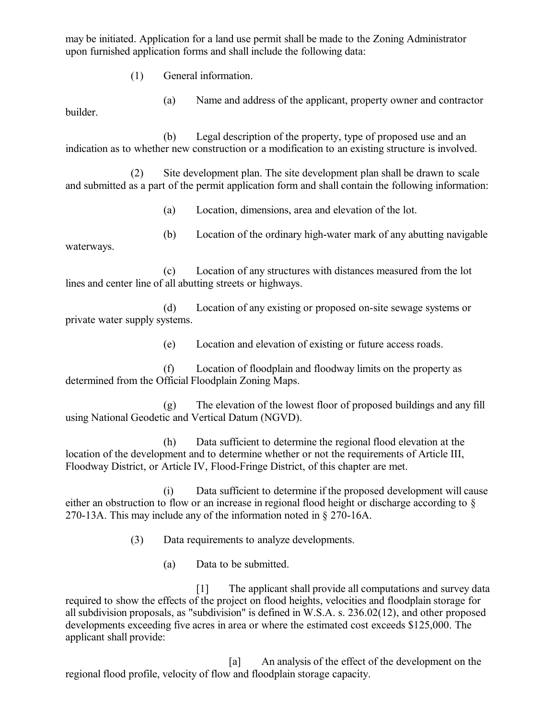may be initiated. Application for a land use permit shall be made to the Zoning Administrator upon furnished application forms and shall include the following data:

(1) General information.

(a) Name and address of the applicant, property owner and contractor

builder.

(b) Legal description of the property, type of proposed use and an indication as to whether new construction or a modification to an existing structure is involved.

(2) Site development plan. The site development plan shall be drawn to scale and submitted as a part of the permit application form and shall contain the following information:

- (a) Location, dimensions, area and elevation of the lot.
- (b) Location of the ordinary high-water mark of any abutting navigable waterways.

(c) Location of any structures with distances measured from the lot lines and center line of all abutting streets or highways.

(d) Location of any existing or proposed on-site sewage systems or private water supply systems.

(e) Location and elevation of existing or future access roads.

(f) Location of floodplain and floodway limits on the property as determined from the Official Floodplain Zoning Maps.

(g) The elevation of the lowest floor of proposed buildings and any fill using National Geodetic and Vertical Datum (NGVD).

(h) Data sufficient to determine the regional flood elevation at the location of the development and to determine whether or not the requirements of Article III, Floodway District, or Article IV, Flood-Fringe District, of this chapter are met.

(i) Data sufficient to determine if the proposed development will cause either an obstruction to flow or an increase in regional flood height or discharge according to § 270-13A. This may include any of the information noted in § 270-16A.

(3) Data requirements to analyze developments.

(a) Data to be submitted.

[1] The applicant shall provide all computations and survey data required to show the effects of the project on flood heights, velocities and floodplain storage for all subdivision proposals, as "subdivision" is defined in W.S.A. s. 236.02(12), and other proposed developments exceeding five acres in area or where the estimated cost exceeds \$125,000. The applicant shall provide:

[a] An analysis of the effect of the development on the regional flood profile, velocity of flow and floodplain storage capacity.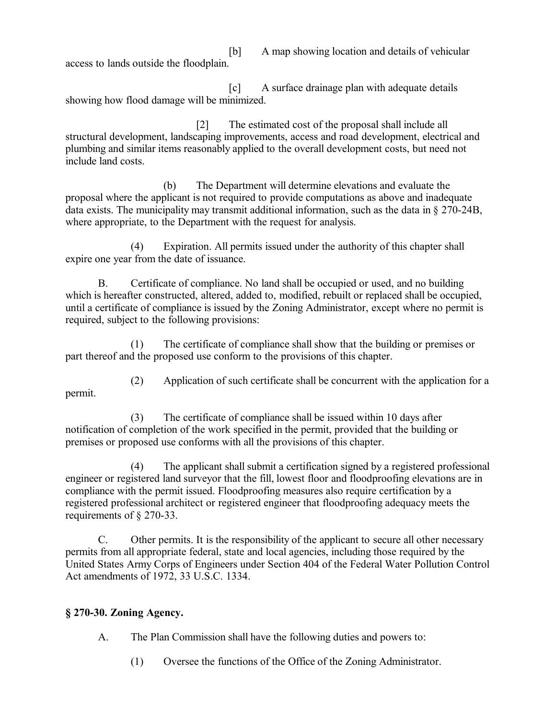[b] A map showing location and details of vehicular access to lands outside the floodplain.

[c] A surface drainage plan with adequate details showing how flood damage will be minimized.

[2] The estimated cost of the proposal shall include all structural development, landscaping improvements, access and road development, electrical and plumbing and similar items reasonably applied to the overall development costs, but need not include land costs.

(b) The Department will determine elevations and evaluate the proposal where the applicant is not required to provide computations as above and inadequate data exists. The municipality may transmit additional information, such as the data in § 270-24B, where appropriate, to the Department with the request for analysis.

(4) Expiration. All permits issued under the authority of this chapter shall expire one year from the date of issuance.

B. Certificate of compliance. No land shall be occupied or used, and no building which is hereafter constructed, altered, added to, modified, rebuilt or replaced shall be occupied, until a certificate of compliance is issued by the Zoning Administrator, except where no permit is required, subject to the following provisions:

(1) The certificate of compliance shall show that the building or premises or part thereof and the proposed use conform to the provisions of this chapter.

(2) Application of such certificate shall be concurrent with the application for a

(3) The certificate of compliance shall be issued within 10 days after notification of completion of the work specified in the permit, provided that the building or premises or proposed use conforms with all the provisions of this chapter.

(4) The applicant shall submit a certification signed by a registered professional engineer or registered land surveyor that the fill, lowest floor and floodproofing elevations are in compliance with the permit issued. Floodproofing measures also require certification by a registered professional architect or registered engineer that floodproofing adequacy meets the requirements of § 270-33.

C. Other permits. It is the responsibility of the applicant to secure all other necessary permits from all appropriate federal, state and local agencies, including those required by the United States Army Corps of Engineers under Section 404 of the Federal Water Pollution Control Act amendments of 1972, 33 U.S.C. 1334.

## **§ 270-30. Zoning Agency.**

permit.

A. The Plan Commission shall have the following duties and powers to:

(1) Oversee the functions of the Office of the Zoning Administrator.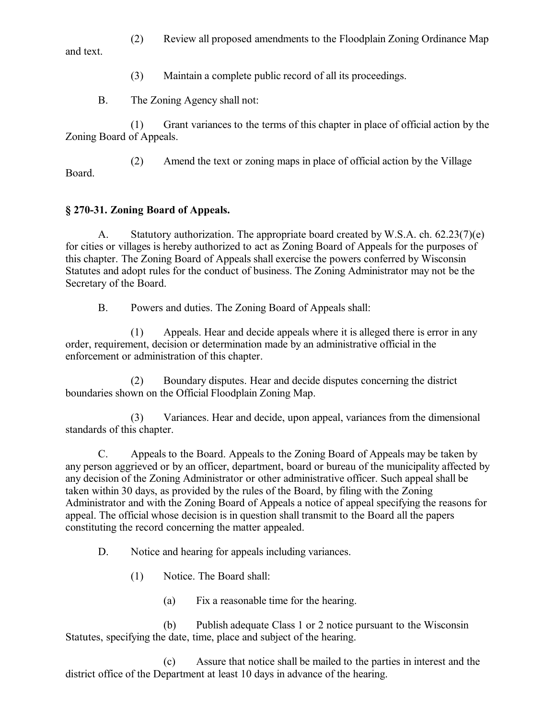(2) Review all proposed amendments to the Floodplain Zoning Ordinance Map and text.

(3) Maintain a complete public record of all its proceedings.

B. The Zoning Agency shall not:

(1) Grant variances to the terms of this chapter in place of official action by the Zoning Board of Appeals.

(2) Amend the text or zoning maps in place of official action by the Village Board.

# **§ 270-31. Zoning Board of Appeals.**

A. Statutory authorization. The appropriate board created by W.S.A. ch. 62.23(7)(e) for cities or villages is hereby authorized to act as Zoning Board of Appeals for the purposes of this chapter. The Zoning Board of Appeals shall exercise the powers conferred by Wisconsin Statutes and adopt rules for the conduct of business. The Zoning Administrator may not be the Secretary of the Board.

B. Powers and duties. The Zoning Board of Appeals shall:

(1) Appeals. Hear and decide appeals where it is alleged there is error in any order, requirement, decision or determination made by an administrative official in the enforcement or administration of this chapter.

(2) Boundary disputes. Hear and decide disputes concerning the district boundaries shown on the Official Floodplain Zoning Map.

(3) Variances. Hear and decide, upon appeal, variances from the dimensional standards of this chapter.

C. Appeals to the Board. Appeals to the Zoning Board of Appeals may be taken by any person aggrieved or by an officer, department, board or bureau of the municipality affected by any decision of the Zoning Administrator or other administrative officer. Such appeal shall be taken within 30 days, as provided by the rules of the Board, by filing with the Zoning Administrator and with the Zoning Board of Appeals a notice of appeal specifying the reasons for appeal. The official whose decision is in question shall transmit to the Board all the papers constituting the record concerning the matter appealed.

D. Notice and hearing for appeals including variances.

- (1) Notice. The Board shall:
	- (a) Fix a reasonable time for the hearing.

(b) Publish adequate Class 1 or 2 notice pursuant to the Wisconsin Statutes, specifying the date, time, place and subject of the hearing.

(c) Assure that notice shall be mailed to the parties in interest and the district office of the Department at least 10 days in advance of the hearing.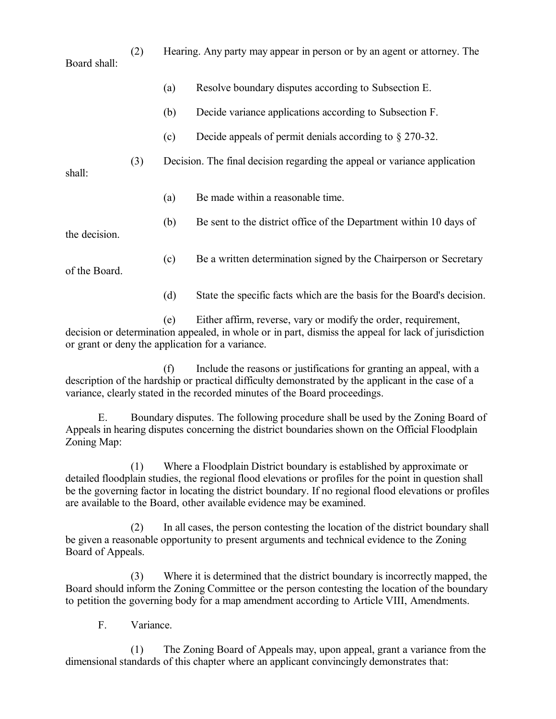(2) Hearing. Any party may appear in person or by an agent or attorney. The Board shall:

- (a) Resolve boundary disputes according to Subsection E.
- (b) Decide variance applications according to Subsection F.
- (c) Decide appeals of permit denials according to § 270-32.
- (3) Decision. The final decision regarding the appeal or variance application

shall:

- (a) Be made within a reasonable time.
- (b) Be sent to the district office of the Department within 10 days of

the decision.

of the Board.

- (c) Be a written determination signed by the Chairperson or Secretary
- (d) State the specific facts which are the basis for the Board's decision.

(e) Either affirm, reverse, vary or modify the order, requirement, decision or determination appealed, in whole or in part, dismiss the appeal for lack of jurisdiction or grant or deny the application for a variance.

(f) Include the reasons or justifications for granting an appeal, with a description of the hardship or practical difficulty demonstrated by the applicant in the case of a variance, clearly stated in the recorded minutes of the Board proceedings.

E. Boundary disputes. The following procedure shall be used by the Zoning Board of Appeals in hearing disputes concerning the district boundaries shown on the Official Floodplain Zoning Map:

(1) Where a Floodplain District boundary is established by approximate or detailed floodplain studies, the regional flood elevations or profiles for the point in question shall be the governing factor in locating the district boundary. If no regional flood elevations or profiles are available to the Board, other available evidence may be examined.

(2) In all cases, the person contesting the location of the district boundary shall be given a reasonable opportunity to present arguments and technical evidence to the Zoning Board of Appeals.

(3) Where it is determined that the district boundary is incorrectly mapped, the Board should inform the Zoning Committee or the person contesting the location of the boundary to petition the governing body for a map amendment according to Article VIII, Amendments.

F. Variance.

(1) The Zoning Board of Appeals may, upon appeal, grant a variance from the dimensional standards of this chapter where an applicant convincingly demonstrates that: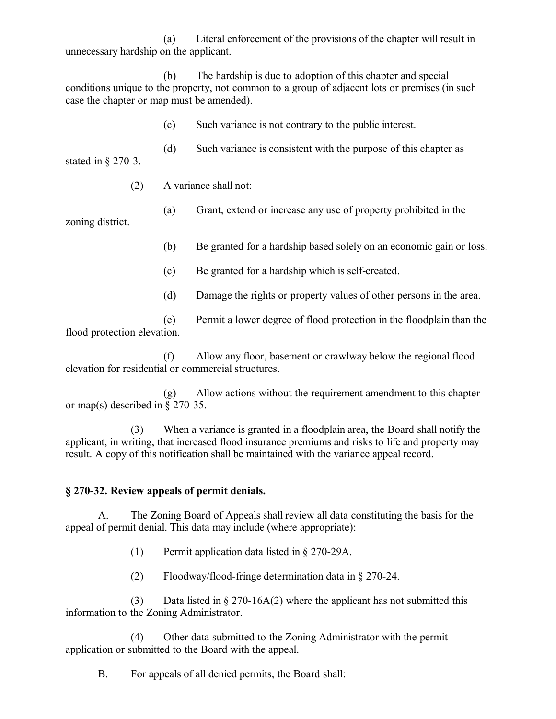(a) Literal enforcement of the provisions of the chapter will result in unnecessary hardship on the applicant.

(b) The hardship is due to adoption of this chapter and special conditions unique to the property, not common to a group of adjacent lots or premises (in such case the chapter or map must be amended).

(c) Such variance is not contrary to the public interest.

(d) Such variance is consistent with the purpose of this chapter as stated in § 270-3.

- (2) A variance shall not:
	- (a) Grant, extend or increase any use of property prohibited in the

zoning district.

- (b) Be granted for a hardship based solely on an economic gain or loss.
- (c) Be granted for a hardship which is self-created.
- (d) Damage the rights or property values of other persons in the area.

(e) Permit a lower degree of flood protection in the floodplain than the flood protection elevation.

(f) Allow any floor, basement or crawlway below the regional flood elevation for residential or commercial structures.

(g) Allow actions without the requirement amendment to this chapter or map(s) described in § 270-35.

(3) When a variance is granted in a floodplain area, the Board shall notify the applicant, in writing, that increased flood insurance premiums and risks to life and property may result. A copy of this notification shall be maintained with the variance appeal record.

#### **§ 270-32. Review appeals of permit denials.**

A. The Zoning Board of Appeals shall review all data constituting the basis for the appeal of permit denial. This data may include (where appropriate):

(1) Permit application data listed in § 270-29A.

(2) Floodway/flood-fringe determination data in § 270-24.

(3) Data listed in  $\S 270-16A(2)$  where the applicant has not submitted this information to the Zoning Administrator.

(4) Other data submitted to the Zoning Administrator with the permit application or submitted to the Board with the appeal.

B. For appeals of all denied permits, the Board shall: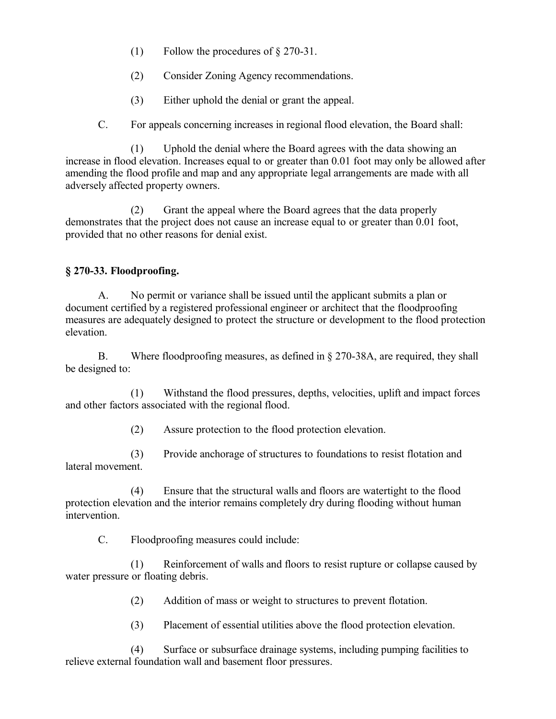- (1) Follow the procedures of § 270-31.
- (2) Consider Zoning Agency recommendations.
- (3) Either uphold the denial or grant the appeal.
- C. For appeals concerning increases in regional flood elevation, the Board shall:

(1) Uphold the denial where the Board agrees with the data showing an increase in flood elevation. Increases equal to or greater than 0.01 foot may only be allowed after amending the flood profile and map and any appropriate legal arrangements are made with all adversely affected property owners.

(2) Grant the appeal where the Board agrees that the data properly demonstrates that the project does not cause an increase equal to or greater than 0.01 foot, provided that no other reasons for denial exist.

# **§ 270-33. Floodproofing.**

A. No permit or variance shall be issued until the applicant submits a plan or document certified by a registered professional engineer or architect that the floodproofing measures are adequately designed to protect the structure or development to the flood protection elevation.

B. Where floodproofing measures, as defined in § 270-38A, are required, they shall be designed to:

(1) Withstand the flood pressures, depths, velocities, uplift and impact forces and other factors associated with the regional flood.

(2) Assure protection to the flood protection elevation.

(3) Provide anchorage of structures to foundations to resist flotation and lateral movement.

(4) Ensure that the structural walls and floors are watertight to the flood protection elevation and the interior remains completely dry during flooding without human intervention.

C. Floodproofing measures could include:

(1) Reinforcement of walls and floors to resist rupture or collapse caused by water pressure or floating debris.

- (2) Addition of mass or weight to structures to prevent flotation.
- (3) Placement of essential utilities above the flood protection elevation.

(4) Surface or subsurface drainage systems, including pumping facilities to relieve external foundation wall and basement floor pressures.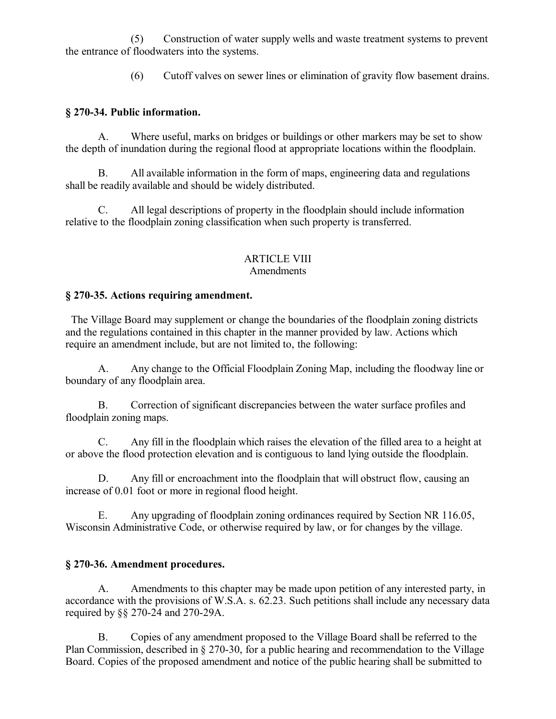(5) Construction of water supply wells and waste treatment systems to prevent the entrance of floodwaters into the systems.

(6) Cutoff valves on sewer lines or elimination of gravity flow basement drains.

### **§ 270-34. Public information.**

A. Where useful, marks on bridges or buildings or other markers may be set to show the depth of inundation during the regional flood at appropriate locations within the floodplain.

B. All available information in the form of maps, engineering data and regulations shall be readily available and should be widely distributed.

C. All legal descriptions of property in the floodplain should include information relative to the floodplain zoning classification when such property is transferred.

#### ARTICLE VIII Amendments

### **§ 270-35. Actions requiring amendment.**

 The Village Board may supplement or change the boundaries of the floodplain zoning districts and the regulations contained in this chapter in the manner provided by law. Actions which require an amendment include, but are not limited to, the following:

A. Any change to the Official Floodplain Zoning Map, including the floodway line or boundary of any floodplain area.

B. Correction of significant discrepancies between the water surface profiles and floodplain zoning maps.

C. Any fill in the floodplain which raises the elevation of the filled area to a height at or above the flood protection elevation and is contiguous to land lying outside the floodplain.

D. Any fill or encroachment into the floodplain that will obstruct flow, causing an increase of 0.01 foot or more in regional flood height.

E. Any upgrading of floodplain zoning ordinances required by Section NR 116.05, Wisconsin Administrative Code, or otherwise required by law, or for changes by the village.

## **§ 270-36. Amendment procedures.**

A. Amendments to this chapter may be made upon petition of any interested party, in accordance with the provisions of W.S.A. s. 62.23. Such petitions shall include any necessary data required by §§ 270-24 and 270-29A.

B. Copies of any amendment proposed to the Village Board shall be referred to the Plan Commission, described in § 270-30, for a public hearing and recommendation to the Village Board. Copies of the proposed amendment and notice of the public hearing shall be submitted to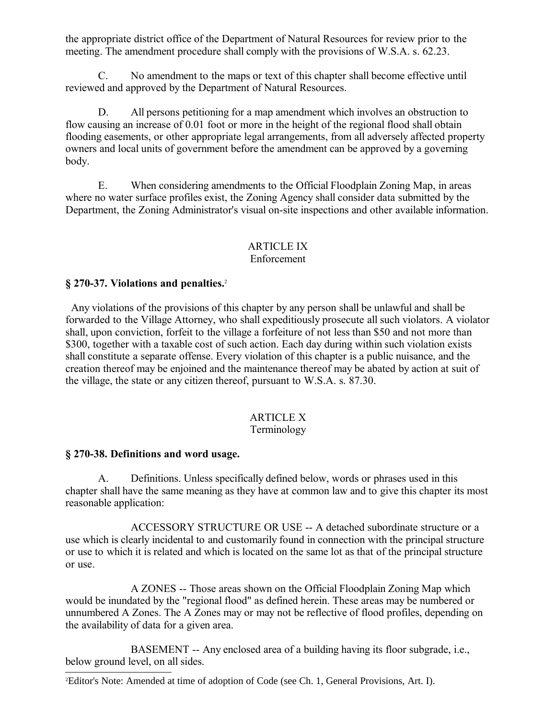the appropriate district office of the Department of Natural Resources for review prior to the meeting. The amendment procedure shall comply with the provisions of W.S.A. s. 62.23.

C. No amendment to the maps or text of this chapter shall become effective until reviewed and approved by the Department of Natural Resources.

D. All persons petitioning for a map amendment which involves an obstruction to flow causing an increase of 0.01 foot or more in the height of the regional flood shall obtain flooding easements, or other appropriate legal arrangements, from all adversely affected property owners and local units of government before the amendment can be approved by a governing body.

E. When considering amendments to the Official Floodplain Zoning Map, in areas where no water surface profiles exist, the Zoning Agency shall consider data submitted by the Department, the Zoning Administrator's visual on-site inspections and other available information.

# ARTICLE IX

### Enforcement

## **§ 270-37. Violations and penalties.**[2](#page-23-0)

 Any violations of the provisions of this chapter by any person shall be unlawful and shall be forwarded to the Village Attorney, who shall expeditiously prosecute all such violators. A violator shall, upon conviction, forfeit to the village a forfeiture of not less than \$50 and not more than \$300, together with a taxable cost of such action. Each day during within such violation exists shall constitute a separate offense. Every violation of this chapter is a public nuisance, and the creation thereof may be enjoined and the maintenance thereof may be abated by action at suit of the village, the state or any citizen thereof, pursuant to W.S.A. s. 87.30.

# ARTICLE X

# Terminology

## **§ 270-38. Definitions and word usage.**

A. Definitions. Unless specifically defined below, words or phrases used in this chapter shall have the same meaning as they have at common law and to give this chapter its most reasonable application:

ACCESSORY STRUCTURE OR USE -- A detached subordinate structure or a use which is clearly incidental to and customarily found in connection with the principal structure or use to which it is related and which is located on the same lot as that of the principal structure or use.

A ZONES -- Those areas shown on the Official Floodplain Zoning Map which would be inundated by the "regional flood" as defined herein. These areas may be numbered or unnumbered A Zones. The A Zones may or may not be reflective of flood profiles, depending on the availability of data for a given area.

BASEMENT -- Any enclosed area of a building having its floor subgrade, i.e., below ground level, on all sides.

<span id="page-23-0"></span>2Editor's Note: Amended at time of adoption of Code (see Ch. 1, General Provisions, Art. I).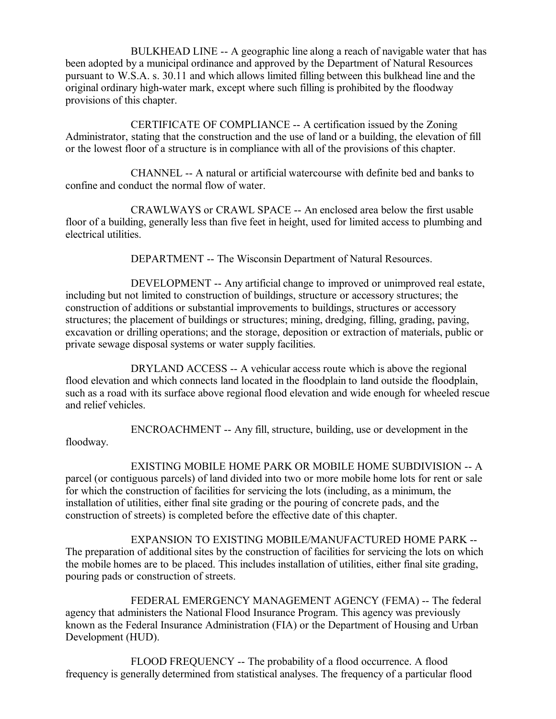BULKHEAD LINE -- A geographic line along a reach of navigable water that has been adopted by a municipal ordinance and approved by the Department of Natural Resources pursuant to W.S.A. s. 30.11 and which allows limited filling between this bulkhead line and the original ordinary high-water mark, except where such filling is prohibited by the floodway provisions of this chapter.

CERTIFICATE OF COMPLIANCE -- A certification issued by the Zoning Administrator, stating that the construction and the use of land or a building, the elevation of fill or the lowest floor of a structure is in compliance with all of the provisions of this chapter.

CHANNEL -- A natural or artificial watercourse with definite bed and banks to confine and conduct the normal flow of water.

CRAWLWAYS or CRAWL SPACE -- An enclosed area below the first usable floor of a building, generally less than five feet in height, used for limited access to plumbing and electrical utilities.

DEPARTMENT -- The Wisconsin Department of Natural Resources.

DEVELOPMENT -- Any artificial change to improved or unimproved real estate, including but not limited to construction of buildings, structure or accessory structures; the construction of additions or substantial improvements to buildings, structures or accessory structures; the placement of buildings or structures; mining, dredging, filling, grading, paving, excavation or drilling operations; and the storage, deposition or extraction of materials, public or private sewage disposal systems or water supply facilities.

DRYLAND ACCESS -- A vehicular access route which is above the regional flood elevation and which connects land located in the floodplain to land outside the floodplain, such as a road with its surface above regional flood elevation and wide enough for wheeled rescue and relief vehicles.

ENCROACHMENT -- Any fill, structure, building, use or development in the floodway.

EXISTING MOBILE HOME PARK OR MOBILE HOME SUBDIVISION -- A parcel (or contiguous parcels) of land divided into two or more mobile home lots for rent or sale for which the construction of facilities for servicing the lots (including, as a minimum, the installation of utilities, either final site grading or the pouring of concrete pads, and the construction of streets) is completed before the effective date of this chapter.

EXPANSION TO EXISTING MOBILE/MANUFACTURED HOME PARK -- The preparation of additional sites by the construction of facilities for servicing the lots on which the mobile homes are to be placed. This includes installation of utilities, either final site grading, pouring pads or construction of streets.

FEDERAL EMERGENCY MANAGEMENT AGENCY (FEMA) -- The federal agency that administers the National Flood Insurance Program. This agency was previously known as the Federal Insurance Administration (FIA) or the Department of Housing and Urban Development (HUD).

FLOOD FREQUENCY -- The probability of a flood occurrence. A flood frequency is generally determined from statistical analyses. The frequency of a particular flood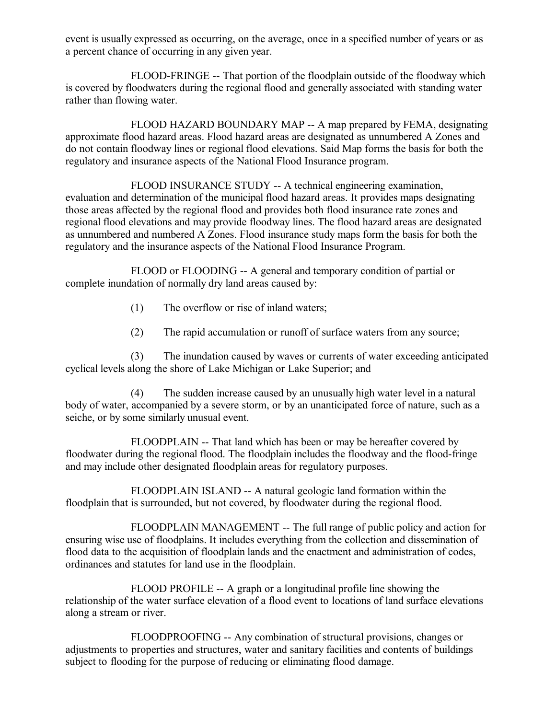event is usually expressed as occurring, on the average, once in a specified number of years or as a percent chance of occurring in any given year.

FLOOD-FRINGE -- That portion of the floodplain outside of the floodway which is covered by floodwaters during the regional flood and generally associated with standing water rather than flowing water.

FLOOD HAZARD BOUNDARY MAP -- A map prepared by FEMA, designating approximate flood hazard areas. Flood hazard areas are designated as unnumbered A Zones and do not contain floodway lines or regional flood elevations. Said Map forms the basis for both the regulatory and insurance aspects of the National Flood Insurance program.

FLOOD INSURANCE STUDY -- A technical engineering examination, evaluation and determination of the municipal flood hazard areas. It provides maps designating those areas affected by the regional flood and provides both flood insurance rate zones and regional flood elevations and may provide floodway lines. The flood hazard areas are designated as unnumbered and numbered A Zones. Flood insurance study maps form the basis for both the regulatory and the insurance aspects of the National Flood Insurance Program.

FLOOD or FLOODING -- A general and temporary condition of partial or complete inundation of normally dry land areas caused by:

- (1) The overflow or rise of inland waters;
- (2) The rapid accumulation or runoff of surface waters from any source;

(3) The inundation caused by waves or currents of water exceeding anticipated cyclical levels along the shore of Lake Michigan or Lake Superior; and

(4) The sudden increase caused by an unusually high water level in a natural body of water, accompanied by a severe storm, or by an unanticipated force of nature, such as a seiche, or by some similarly unusual event.

FLOODPLAIN -- That land which has been or may be hereafter covered by floodwater during the regional flood. The floodplain includes the floodway and the flood-fringe and may include other designated floodplain areas for regulatory purposes.

FLOODPLAIN ISLAND -- A natural geologic land formation within the floodplain that is surrounded, but not covered, by floodwater during the regional flood.

FLOODPLAIN MANAGEMENT -- The full range of public policy and action for ensuring wise use of floodplains. It includes everything from the collection and dissemination of flood data to the acquisition of floodplain lands and the enactment and administration of codes, ordinances and statutes for land use in the floodplain.

FLOOD PROFILE -- A graph or a longitudinal profile line showing the relationship of the water surface elevation of a flood event to locations of land surface elevations along a stream or river.

FLOODPROOFING -- Any combination of structural provisions, changes or adjustments to properties and structures, water and sanitary facilities and contents of buildings subject to flooding for the purpose of reducing or eliminating flood damage.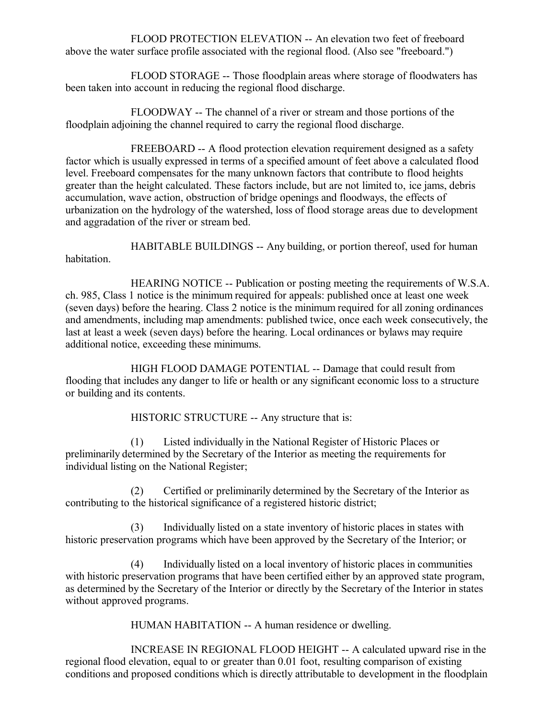FLOOD PROTECTION ELEVATION -- An elevation two feet of freeboard above the water surface profile associated with the regional flood. (Also see "freeboard.")

FLOOD STORAGE -- Those floodplain areas where storage of floodwaters has been taken into account in reducing the regional flood discharge.

FLOODWAY -- The channel of a river or stream and those portions of the floodplain adjoining the channel required to carry the regional flood discharge.

FREEBOARD -- A flood protection elevation requirement designed as a safety factor which is usually expressed in terms of a specified amount of feet above a calculated flood level. Freeboard compensates for the many unknown factors that contribute to flood heights greater than the height calculated. These factors include, but are not limited to, ice jams, debris accumulation, wave action, obstruction of bridge openings and floodways, the effects of urbanization on the hydrology of the watershed, loss of flood storage areas due to development and aggradation of the river or stream bed.

HABITABLE BUILDINGS -- Any building, or portion thereof, used for human habitation.

HEARING NOTICE -- Publication or posting meeting the requirements of W.S.A. ch. 985, Class 1 notice is the minimum required for appeals: published once at least one week (seven days) before the hearing. Class 2 notice is the minimum required for all zoning ordinances and amendments, including map amendments: published twice, once each week consecutively, the last at least a week (seven days) before the hearing. Local ordinances or bylaws may require additional notice, exceeding these minimums.

HIGH FLOOD DAMAGE POTENTIAL -- Damage that could result from flooding that includes any danger to life or health or any significant economic loss to a structure or building and its contents.

HISTORIC STRUCTURE -- Any structure that is:

(1) Listed individually in the National Register of Historic Places or preliminarily determined by the Secretary of the Interior as meeting the requirements for individual listing on the National Register;

(2) Certified or preliminarily determined by the Secretary of the Interior as contributing to the historical significance of a registered historic district;

(3) Individually listed on a state inventory of historic places in states with historic preservation programs which have been approved by the Secretary of the Interior; or

(4) Individually listed on a local inventory of historic places in communities with historic preservation programs that have been certified either by an approved state program, as determined by the Secretary of the Interior or directly by the Secretary of the Interior in states without approved programs.

HUMAN HABITATION -- A human residence or dwelling.

INCREASE IN REGIONAL FLOOD HEIGHT -- A calculated upward rise in the regional flood elevation, equal to or greater than 0.01 foot, resulting comparison of existing conditions and proposed conditions which is directly attributable to development in the floodplain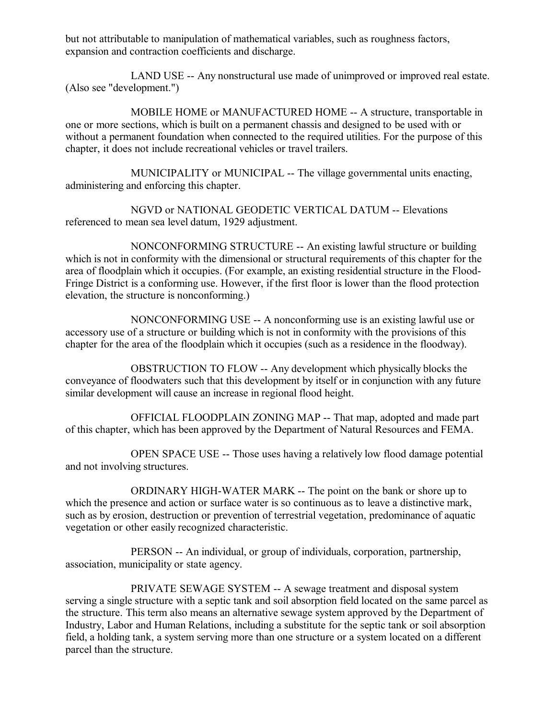but not attributable to manipulation of mathematical variables, such as roughness factors, expansion and contraction coefficients and discharge.

LAND USE -- Any nonstructural use made of unimproved or improved real estate. (Also see "development.")

MOBILE HOME or MANUFACTURED HOME -- A structure, transportable in one or more sections, which is built on a permanent chassis and designed to be used with or without a permanent foundation when connected to the required utilities. For the purpose of this chapter, it does not include recreational vehicles or travel trailers.

MUNICIPALITY or MUNICIPAL -- The village governmental units enacting, administering and enforcing this chapter.

NGVD or NATIONAL GEODETIC VERTICAL DATUM -- Elevations referenced to mean sea level datum, 1929 adjustment.

NONCONFORMING STRUCTURE -- An existing lawful structure or building which is not in conformity with the dimensional or structural requirements of this chapter for the area of floodplain which it occupies. (For example, an existing residential structure in the Flood-Fringe District is a conforming use. However, if the first floor is lower than the flood protection elevation, the structure is nonconforming.)

NONCONFORMING USE -- A nonconforming use is an existing lawful use or accessory use of a structure or building which is not in conformity with the provisions of this chapter for the area of the floodplain which it occupies (such as a residence in the floodway).

OBSTRUCTION TO FLOW -- Any development which physically blocks the conveyance of floodwaters such that this development by itself or in conjunction with any future similar development will cause an increase in regional flood height.

OFFICIAL FLOODPLAIN ZONING MAP -- That map, adopted and made part of this chapter, which has been approved by the Department of Natural Resources and FEMA.

OPEN SPACE USE -- Those uses having a relatively low flood damage potential and not involving structures.

ORDINARY HIGH-WATER MARK -- The point on the bank or shore up to which the presence and action or surface water is so continuous as to leave a distinctive mark, such as by erosion, destruction or prevention of terrestrial vegetation, predominance of aquatic vegetation or other easily recognized characteristic.

PERSON -- An individual, or group of individuals, corporation, partnership, association, municipality or state agency.

PRIVATE SEWAGE SYSTEM -- A sewage treatment and disposal system serving a single structure with a septic tank and soil absorption field located on the same parcel as the structure. This term also means an alternative sewage system approved by the Department of Industry, Labor and Human Relations, including a substitute for the septic tank or soil absorption field, a holding tank, a system serving more than one structure or a system located on a different parcel than the structure.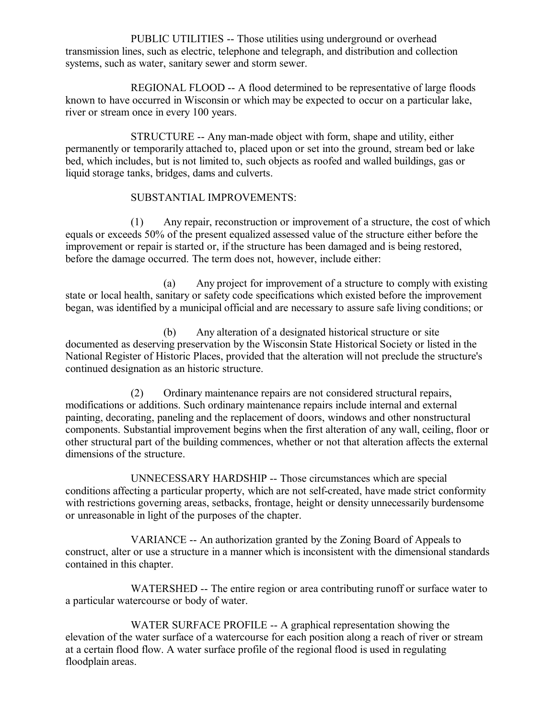PUBLIC UTILITIES -- Those utilities using underground or overhead transmission lines, such as electric, telephone and telegraph, and distribution and collection systems, such as water, sanitary sewer and storm sewer.

REGIONAL FLOOD -- A flood determined to be representative of large floods known to have occurred in Wisconsin or which may be expected to occur on a particular lake, river or stream once in every 100 years.

STRUCTURE -- Any man-made object with form, shape and utility, either permanently or temporarily attached to, placed upon or set into the ground, stream bed or lake bed, which includes, but is not limited to, such objects as roofed and walled buildings, gas or liquid storage tanks, bridges, dams and culverts.

### SUBSTANTIAL IMPROVEMENTS:

(1) Any repair, reconstruction or improvement of a structure, the cost of which equals or exceeds 50% of the present equalized assessed value of the structure either before the improvement or repair is started or, if the structure has been damaged and is being restored, before the damage occurred. The term does not, however, include either:

(a) Any project for improvement of a structure to comply with existing state or local health, sanitary or safety code specifications which existed before the improvement began, was identified by a municipal official and are necessary to assure safe living conditions; or

(b) Any alteration of a designated historical structure or site documented as deserving preservation by the Wisconsin State Historical Society or listed in the National Register of Historic Places, provided that the alteration will not preclude the structure's continued designation as an historic structure.

(2) Ordinary maintenance repairs are not considered structural repairs, modifications or additions. Such ordinary maintenance repairs include internal and external painting, decorating, paneling and the replacement of doors, windows and other nonstructural components. Substantial improvement begins when the first alteration of any wall, ceiling, floor or other structural part of the building commences, whether or not that alteration affects the external dimensions of the structure.

UNNECESSARY HARDSHIP -- Those circumstances which are special conditions affecting a particular property, which are not self-created, have made strict conformity with restrictions governing areas, setbacks, frontage, height or density unnecessarily burdensome or unreasonable in light of the purposes of the chapter.

VARIANCE -- An authorization granted by the Zoning Board of Appeals to construct, alter or use a structure in a manner which is inconsistent with the dimensional standards contained in this chapter.

WATERSHED -- The entire region or area contributing runoff or surface water to a particular watercourse or body of water.

WATER SURFACE PROFILE -- A graphical representation showing the elevation of the water surface of a watercourse for each position along a reach of river or stream at a certain flood flow. A water surface profile of the regional flood is used in regulating floodplain areas.